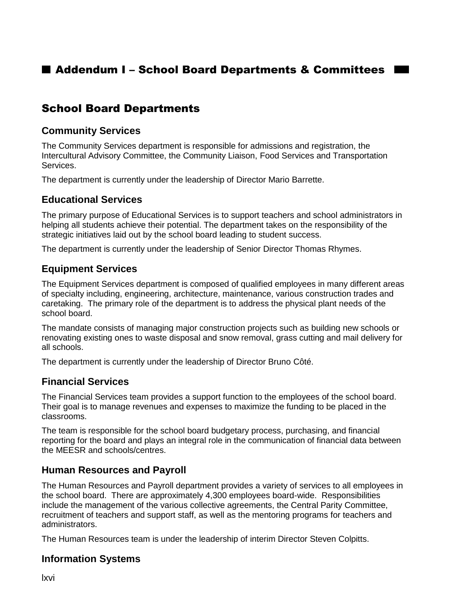# ■ Addendum I – School Board Departments & Committees I

# School Board Departments

#### **Community Services**

The Community Services department is responsible for admissions and registration, the Intercultural Advisory Committee, the Community Liaison, Food Services and Transportation Services.

The department is currently under the leadership of Director Mario Barrette.

#### **Educational Services**

The primary purpose of Educational Services is to support teachers and school administrators in helping all students achieve their potential. The department takes on the responsibility of the strategic initiatives laid out by the school board leading to student success.

The department is currently under the leadership of Senior Director Thomas Rhymes.

### **Equipment Services**

The Equipment Services department is composed of qualified employees in many different areas of specialty including, engineering, architecture, maintenance, various construction trades and caretaking. The primary role of the department is to address the physical plant needs of the school board.

The mandate consists of managing major construction projects such as building new schools or renovating existing ones to waste disposal and snow removal, grass cutting and mail delivery for all schools.

The department is currently under the leadership of Director Bruno Côté.

### **Financial Services**

The Financial Services team provides a support function to the employees of the school board. Their goal is to manage revenues and expenses to maximize the funding to be placed in the classrooms.

The team is responsible for the school board budgetary process, purchasing, and financial reporting for the board and plays an integral role in the communication of financial data between the MEESR and schools/centres.

#### **Human Resources and Payroll**

The Human Resources and Payroll department provides a variety of services to all employees in the school board. There are approximately 4,300 employees board-wide. Responsibilities include the management of the various collective agreements, the Central Parity Committee, recruitment of teachers and support staff, as well as the mentoring programs for teachers and administrators.

The Human Resources team is under the leadership of interim Director Steven Colpitts.

### **Information Systems**

lxvi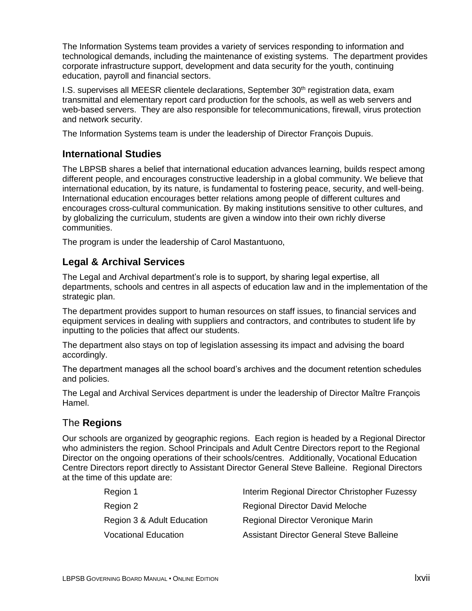The Information Systems team provides a variety of services responding to information and technological demands, including the maintenance of existing systems. The department provides corporate infrastructure support, development and data security for the youth, continuing education, payroll and financial sectors.

I.S. supervises all MEESR clientele declarations, September  $30<sup>th</sup>$  registration data, exam transmittal and elementary report card production for the schools, as well as web servers and web-based servers. They are also responsible for telecommunications, firewall, virus protection and network security.

The Information Systems team is under the leadership of Director François Dupuis.

### **International Studies**

The LBPSB shares a belief that international education advances learning, builds respect among different people, and encourages constructive leadership in a global community. We believe that international education, by its nature, is fundamental to fostering peace, security, and well-being. International education encourages better relations among people of different cultures and encourages cross-cultural communication. By making institutions sensitive to other cultures, and by globalizing the curriculum, students are given a window into their own richly diverse communities.

The program is under the leadership of Carol Mastantuono,

## **Legal & Archival Services**

The Legal and Archival department's role is to support, by sharing legal expertise, all departments, schools and centres in all aspects of education law and in the implementation of the strategic plan.

The department provides support to human resources on staff issues, to financial services and equipment services in dealing with suppliers and contractors, and contributes to student life by inputting to the policies that affect our students.

The department also stays on top of legislation assessing its impact and advising the board accordingly.

The department manages all the school board's archives and the document retention schedules and policies.

The Legal and Archival Services department is under the leadership of Director Maître François Hamel.

### The **Regions**

Our schools are organized by geographic regions. Each region is headed by a Regional Director who administers the region. School Principals and Adult Centre Directors report to the Regional Director on the ongoing operations of their schools/centres. Additionally, Vocational Education Centre Directors report directly to Assistant Director General Steve Balleine. Regional Directors at the time of this update are:

| Region 1                    | Interim Regional Director Christopher Fuzessy |
|-----------------------------|-----------------------------------------------|
| Region 2                    | <b>Regional Director David Meloche</b>        |
| Region 3 & Adult Education  | Regional Director Veronique Marin             |
| <b>Vocational Education</b> | Assistant Director General Steve Balleine     |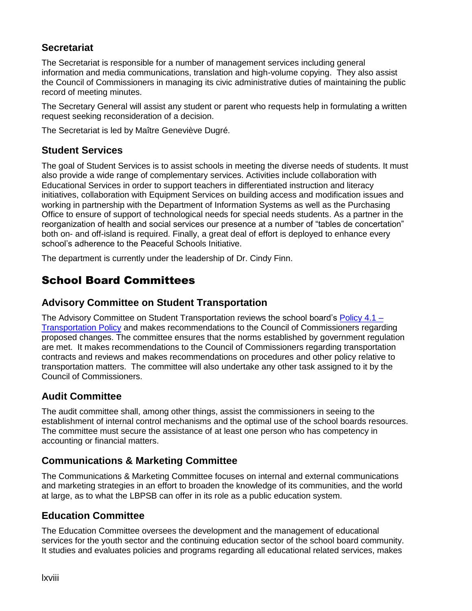## **Secretariat**

The Secretariat is responsible for a number of management services including general information and media communications, translation and high-volume copying. They also assist the Council of Commissioners in managing its civic administrative duties of maintaining the public record of meeting minutes.

The Secretary General will assist any student or parent who requests help in formulating a written request seeking reconsideration of a decision.

The Secretariat is led by Maître Geneviève Dugré.

### **Student Services**

The goal of Student Services is to assist schools in meeting the diverse needs of students. It must also provide a wide range of complementary services. Activities include collaboration with Educational Services in order to support teachers in differentiated instruction and literacy initiatives, collaboration with Equipment Services on building access and modification issues and working in partnership with the Department of Information Systems as well as the Purchasing Office to ensure of support of technological needs for special needs students. As a partner in the reorganization of health and social services our presence at a number of "tables de concertation" both on- and off-island is required. Finally, a great deal of effort is deployed to enhance every school's adherence to the Peaceful Schools Initiative.

The department is currently under the leadership of Dr. Cindy Finn.

# School Board Committees

## **Advisory Committee on Student Transportation**

The Advisory Committee on Student Transportation reviews the school board's [Policy 4.1 –](http://www.lbpsb.qc.ca/content/policies/Transportation_Policy_2014_En.pdf) [Transportation Policy](http://www.lbpsb.qc.ca/content/policies/Transportation_Policy_2014_En.pdf) and makes recommendations to the Council of Commissioners regarding proposed changes. The committee ensures that the norms established by government regulation are met. It makes recommendations to the Council of Commissioners regarding transportation contracts and reviews and makes recommendations on procedures and other policy relative to transportation matters. The committee will also undertake any other task assigned to it by the Council of Commissioners.

## **Audit Committee**

The audit committee shall, among other things, assist the commissioners in seeing to the establishment of internal control mechanisms and the optimal use of the school boards resources. The committee must secure the assistance of at least one person who has competency in accounting or financial matters.

## **Communications & Marketing Committee**

The Communications & Marketing Committee focuses on internal and external communications and marketing strategies in an effort to broaden the knowledge of its communities, and the world at large, as to what the LBPSB can offer in its role as a public education system.

## **Education Committee**

The Education Committee oversees the development and the management of educational services for the youth sector and the continuing education sector of the school board community. It studies and evaluates policies and programs regarding all educational related services, makes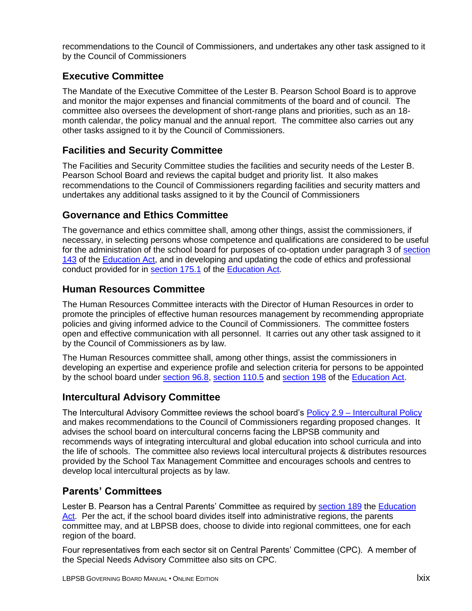recommendations to the Council of Commissioners, and undertakes any other task assigned to it by the Council of Commissioners

## **Executive Committee**

The Mandate of the Executive Committee of the Lester B. Pearson School Board is to approve and monitor the major expenses and financial commitments of the board and of council. The committee also oversees the development of short-range plans and priorities, such as an 18 month calendar, the policy manual and the annual report. The committee also carries out any other tasks assigned to it by the Council of Commissioners.

### **Facilities and Security Committee**

The Facilities and Security Committee studies the facilities and security needs of the Lester B. Pearson School Board and reviews the capital budget and priority list. It also makes recommendations to the Council of Commissioners regarding facilities and security matters and undertakes any additional tasks assigned to it by the Council of Commissioners

## **Governance and Ethics Committee**

The governance and ethics committee shall, among other things, assist the commissioners, if necessary, in selecting persons whose competence and qualifications are considered to be useful for the administration of the school board for purposes of co-optation under paragraph 3 of [section](http://www2.publicationsduquebec.gouv.qc.ca/dynamicSearch/telecharge.php?type=2&file=/I_13_3/I13_3_A.html#s143)  [143](http://www2.publicationsduquebec.gouv.qc.ca/dynamicSearch/telecharge.php?type=2&file=/I_13_3/I13_3_A.html#s143) of the [Education Act,](http://www2.publicationsduquebec.gouv.qc.ca/dynamicSearch/telecharge.php?type=2&file=/I_13_3/I13_3_A.html) and in developing and updating the code of ethics and professional conduct provided for in [section 175.1](http://www2.publicationsduquebec.gouv.qc.ca/dynamicSearch/telecharge.php?type=2&file=/I_13_3/I13_3_A.html#s175.1) of the [Education Act.](http://www2.publicationsduquebec.gouv.qc.ca/dynamicSearch/telecharge.php?type=2&file=/I_13_3/I13_3_A.html)

## **Human Resources Committee**

The Human Resources Committee interacts with the Director of Human Resources in order to promote the principles of effective human resources management by recommending appropriate policies and giving informed advice to the Council of Commissioners. The committee fosters open and effective communication with all personnel. It carries out any other task assigned to it by the Council of Commissioners as by law.

The Human Resources committee shall, among other things, assist the commissioners in developing an expertise and experience profile and selection criteria for persons to be appointed by the school board under [section](http://www2.publicationsduquebec.gouv.qc.ca/dynamicSearch/telecharge.php?type=2&file=/I_13_3/I13_3_A.html#s96.8) 96.8, [section 110.5](http://www2.publicationsduquebec.gouv.qc.ca/dynamicSearch/telecharge.php?type=2&file=/I_13_3/I13_3_A.html#s110.5) and [section 198](http://www2.publicationsduquebec.gouv.qc.ca/dynamicSearch/telecharge.php?type=2&file=/I_13_3/I13_3_A.html#s198) of the [Education Act.](http://www2.publicationsduquebec.gouv.qc.ca/dynamicSearch/telecharge.php?type=2&file=/I_13_3/I13_3_A.html)

### **Intercultural Advisory Committee**

The Intercultural Advisory Committee reviews the school board's Policy 2.9 – [Intercultural Policy](http://www.lbpsb.qc.ca/content/policies/Intercultural_Policy_final_jan2011.pdf) and makes recommendations to the Council of Commissioners regarding proposed changes. It advises the school board on intercultural concerns facing the LBPSB community and recommends ways of integrating intercultural and global education into school curricula and into the life of schools. The committee also reviews local intercultural projects & distributes resources provided by the School Tax Management Committee and encourages schools and centres to develop local intercultural projects as by law.

## **Parents' Committees**

Lester B. Pearson has a Central Parents' Committee as required by [section 189](http://www2.publicationsduquebec.gouv.qc.ca/dynamicSearch/telecharge.php?type=2&file=/I_13_3/I13_3_A.html#s189) the [Education](http://www2.publicationsduquebec.gouv.qc.ca/dynamicSearch/telecharge.php?type=2&file=/I_13_3/I13_3_A.html)  [Act.](http://www2.publicationsduquebec.gouv.qc.ca/dynamicSearch/telecharge.php?type=2&file=/I_13_3/I13_3_A.html) Per the act, if the school board divides itself into administrative regions, the parents committee may, and at LBPSB does, choose to divide into regional committees, one for each region of the board.

Four representatives from each sector sit on Central Parents' Committee (CPC). A member of the Special Needs Advisory Committee also sits on CPC.